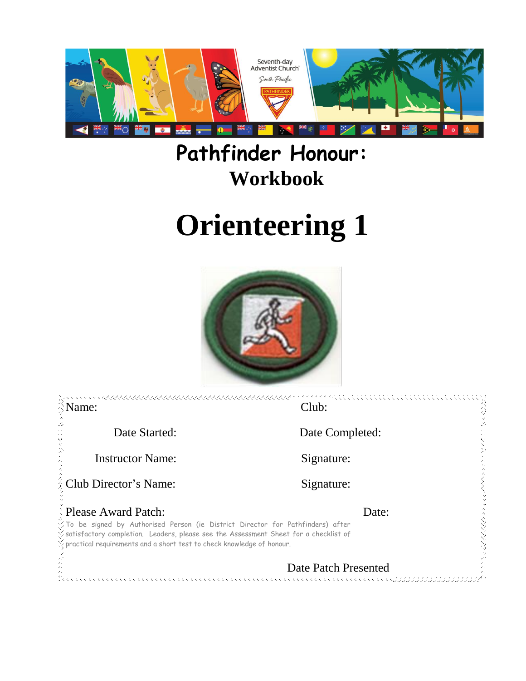

## **Pathfinder Honour: Workbook**

# **Orienteering 1**



| R Name:                                                                                                                                                                                                                                                                             | Club:                                                        |     |
|-------------------------------------------------------------------------------------------------------------------------------------------------------------------------------------------------------------------------------------------------------------------------------------|--------------------------------------------------------------|-----|
| Date Started:                                                                                                                                                                                                                                                                       | Date Completed:                                              |     |
| <b>Instructor Name:</b>                                                                                                                                                                                                                                                             | Signature:                                                   |     |
| <b>Example 2</b> Club Director's Name:                                                                                                                                                                                                                                              | Signature:                                                   | くええ |
| <b>Please Award Patch:</b>                                                                                                                                                                                                                                                          | Date:                                                        |     |
| $\check{\vee}$ To be signed by Authorised Person (ie District Director for Pathfinders) after<br>Satisfactory completion. Leaders, please see the Assessment Sheet for a checklist of<br>$\frac{1}{\sqrt{2}}$ practical requirements and a short test to check knowledge of honour. |                                                              |     |
|                                                                                                                                                                                                                                                                                     | Date Patch Presented<br>かかかかかかかかかかかかかかかかかかかかかか べんこうじょうじょうじょう |     |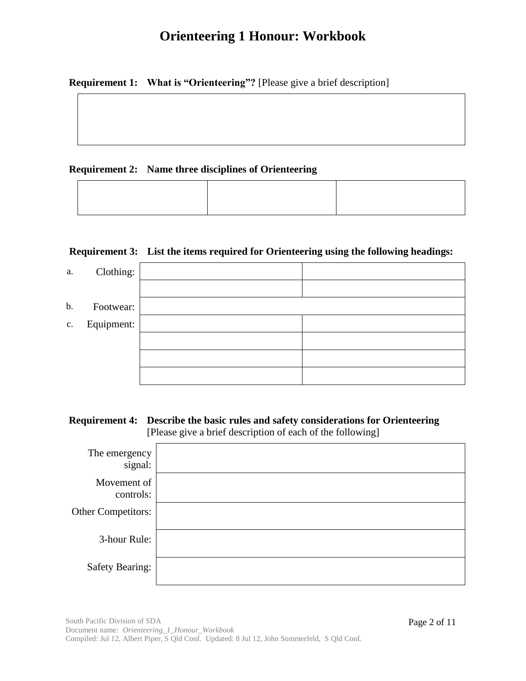**Requirement 1: What is "Orienteering"?** [Please give a brief description]

#### **Requirement 2: Name three disciplines of Orienteering**

#### **Requirement 3: List the items required for Orienteering using the following headings:**

| a.             | Clothing:  |  |
|----------------|------------|--|
|                |            |  |
| b.             | Footwear:  |  |
| $\mathbf{c}$ . | Equipment: |  |
|                |            |  |
|                |            |  |
|                |            |  |

#### **Requirement 4: Describe the basic rules and safety considerations for Orienteering** [Please give a brief description of each of the following]

| The emergency<br>signal:  |  |
|---------------------------|--|
| Movement of<br>controls:  |  |
| <b>Other Competitors:</b> |  |
| 3-hour Rule:              |  |
| <b>Safety Bearing:</b>    |  |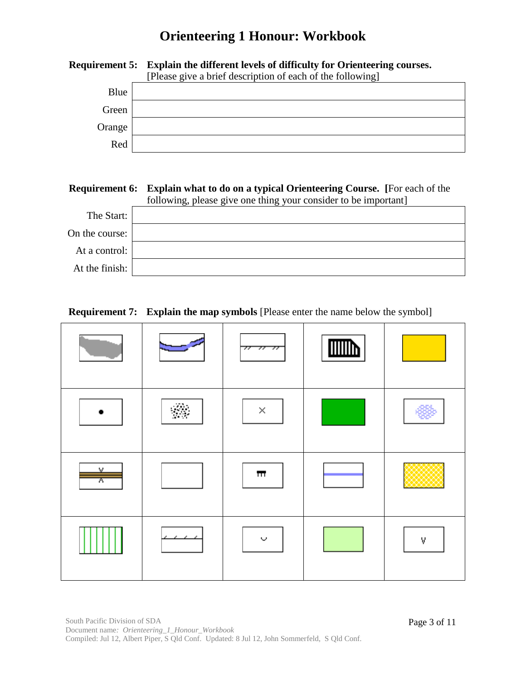|        | <b>Requirement 5:</b> Explain the different levels of difficulty for Orienteering courses. |  |  |  |
|--------|--------------------------------------------------------------------------------------------|--|--|--|
|        | [Please give a brief description of each of the following]                                 |  |  |  |
| Blue   |                                                                                            |  |  |  |
| Green  |                                                                                            |  |  |  |
| Orange |                                                                                            |  |  |  |
| Red    |                                                                                            |  |  |  |

#### **Requirement 6: Explain what to do on a typical Orienteering Course. [**For each of the following, please give one thing your consider to be important]

| The Start:     |  |  |
|----------------|--|--|
| On the course: |  |  |
| At a control:  |  |  |
| At the finish: |  |  |

### **Requirement 7: Explain the map symbols** [Please enter the name below the symbol]

|        |                 | 77                      | $\mathbb{I}$ |   |
|--------|-----------------|-------------------------|--------------|---|
|        | 68              | $\times$                |              |   |
| v<br>π |                 | $\overline{\mathbf{H}}$ |              |   |
|        | . .<br>,<br>. . | ◡                       |              | ٧ |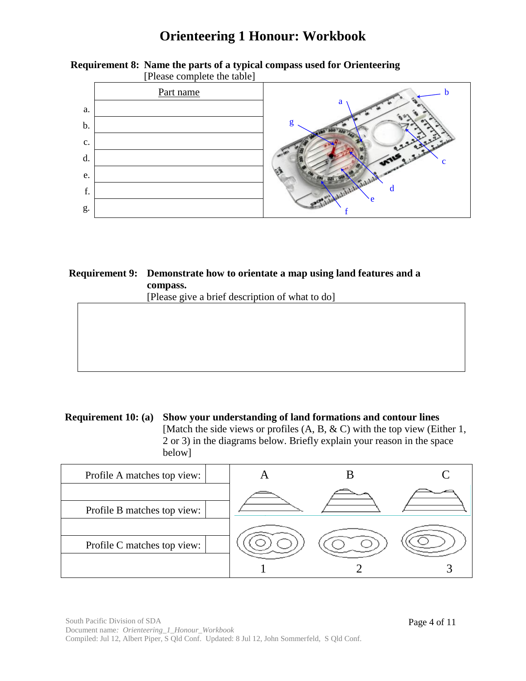

## **Requirement 8: Name the parts of a typical compass used for Orienteering**

#### **Requirement 9: Demonstrate how to orientate a map using land features and a compass.** [Please give a brief description of what to do]

**Requirement 10: (a) Show your understanding of land formations and contour lines** [Match the side views or profiles (A, B, & C) with the top view (Either 1, 2 or 3) in the diagrams below. Briefly explain your reason in the space below]

| Profile A matches top view: |  |  |
|-----------------------------|--|--|
|                             |  |  |
| Profile B matches top view: |  |  |
|                             |  |  |
| Profile C matches top view: |  |  |
|                             |  |  |
|                             |  |  |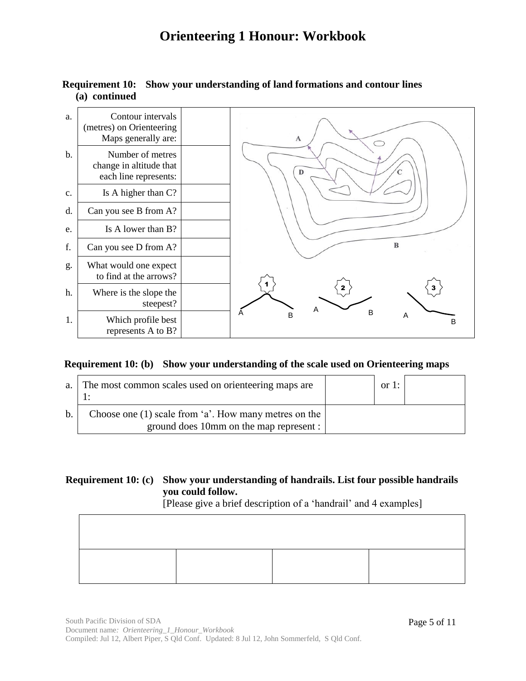#### a. Contour intervals (metres) on Orienteering Maps generally are:  $\mathbf{A}$  $\circ$ b. Number of metres change in altitude that  $\mathbf{D}$  $\epsilon$ each line represents: c. Is A higher than C? d. Can you see B from A? e. Is A lower than B?  $\bf{B}$ f. Can you see D from A? g. What would one expect to find at the arrows? 1  $2 \nmid$  3 h. Where is the slope the  $\vee$ steepest? A B A B P A 1. Which profile best B represents A to B?

#### **Requirement 10: Show your understanding of land formations and contour lines (a) continued**

#### **Requirement 10: (b) Show your understanding of the scale used on Orienteering maps**

|                | a. The most common scales used on orienteering maps are                                            | or 1: |  |
|----------------|----------------------------------------------------------------------------------------------------|-------|--|
| $\mathbf{b}$ . | Choose one $(1)$ scale from 'a'. How many metres on the<br>ground does 10mm on the map represent : |       |  |

#### **Requirement 10: (c) Show your understanding of handrails. List four possible handrails you could follow.**

[Please give a brief description of a 'handrail' and 4 examples]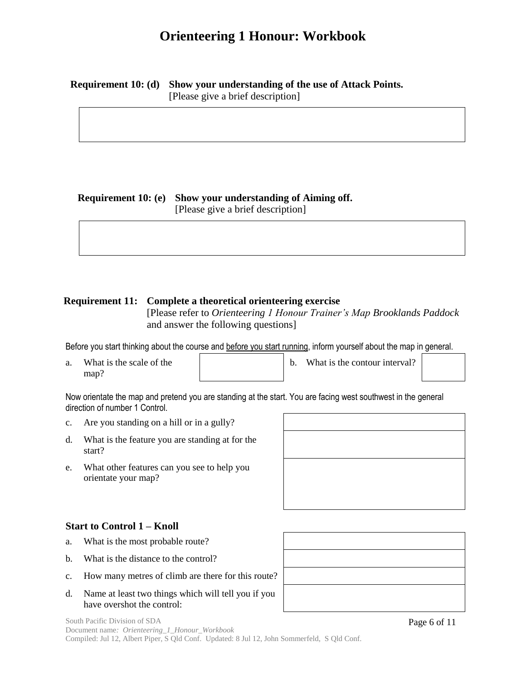## **Requirement 10: (d) Show your understanding of the use of Attack Points.**

[Please give a brief description]

#### **Requirement 10: (e) Show your understanding of Aiming off.**

[Please give a brief description]

#### **Requirement 11: Complete a theoretical orienteering exercise**

[Please refer to *Orienteering 1 Honour Trainer's Map Brooklands Paddock*  and answer the following questions]

Before you start thinking about the course and before you start running, inform yourself about the map in general.

a. What is the scale of the map?

b. What is the contour interval?

Now orientate the map and pretend you are standing at the start. You are facing west southwest in the general direction of number 1 Control.

- c. Are you standing on a hill or in a gully?
- d. What is the feature you are standing at for the start?
- e. What other features can you see to help you orientate your map?

#### **Start to Control 1 – Knoll**

- a. What is the most probable route?
- b. What is the distance to the control?
- c. How many metres of climb are there for this route?
- d. Name at least two things which will tell you if you have overshot the control:



Page 6 of 11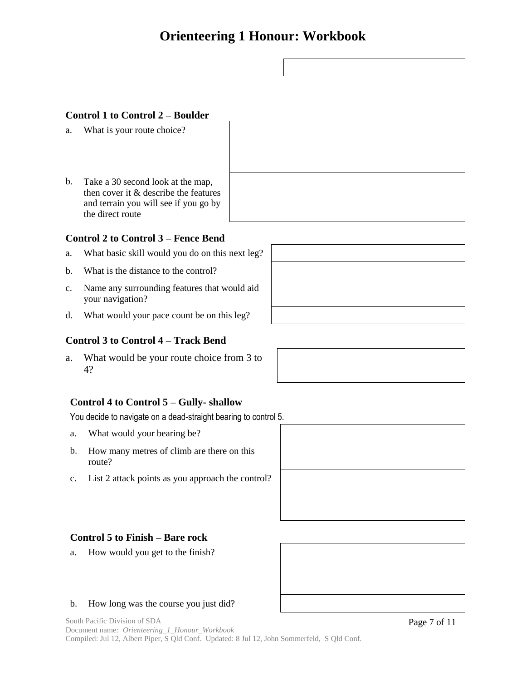#### **Control 1 to Control 2 – Boulder**

- a. What is your route choice?
- b. Take a 30 second look at the map, then cover it & describe the features and terrain you will see if you go by the direct route

#### **Control 2 to Control 3 – Fence Bend**

- a. What basic skill would you do on this next leg?
- b. What is the distance to the control?
- c. Name any surrounding features that would aid your navigation?
- d. What would your pace count be on this leg?

#### **Control 3 to Control 4 – Track Bend**

a. What would be your route choice from 3 to 4?

#### **Control 4 to Control 5 – Gully- shallow**

You decide to navigate on a dead-straight bearing to control 5.

- a. What would your bearing be?
- b. How many metres of climb are there on this route?
- c. List 2 attack points as you approach the control?



#### **Control 5 to Finish – Bare rock**

a. How would you get to the finish?

#### b. How long was the course you just did?

South Pacific Division of SDA Document name*: Orienteering\_1\_Honour\_Workbook* Compiled: Jul 12, Albert Piper, S Qld Conf. Updated: 8 Jul 12, John Sommerfeld, S Qld Conf.



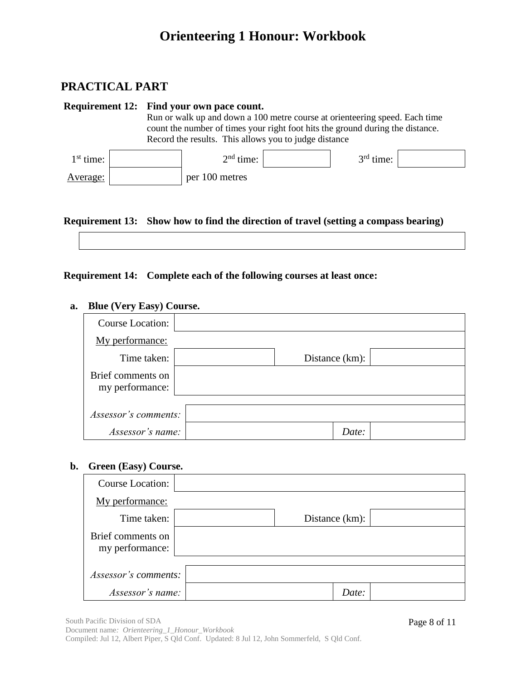### **PRACTICAL PART**

|             |  | <b>Requirement 12: Find your own pace count.</b>                               |             |  |
|-------------|--|--------------------------------------------------------------------------------|-------------|--|
|             |  | Run or walk up and down a 100 metre course at orienteering speed. Each time    |             |  |
|             |  | count the number of times your right foot hits the ground during the distance. |             |  |
|             |  | Record the results. This allows you to judge distance                          |             |  |
| $1st$ time: |  | $2nd$ time:                                                                    | $3rd$ time: |  |
| Average:    |  | per 100 metres                                                                 |             |  |

#### **Requirement 13: Show how to find the direction of travel (setting a compass bearing)**

#### **Requirement 14: Complete each of the following courses at least once:**

#### **a. Blue (Very Easy) Course.**

| Course Location:                     |                   |  |
|--------------------------------------|-------------------|--|
| My performance:                      |                   |  |
| Time taken:                          | Distance $(km)$ : |  |
| Brief comments on<br>my performance: |                   |  |
|                                      |                   |  |
| Assessor's comments:                 |                   |  |
| Assessor's name:                     | Date:             |  |

#### **b. Green (Easy) Course.**

| <b>Course Location:</b>              |                   |  |
|--------------------------------------|-------------------|--|
| My performance:                      |                   |  |
| Time taken:                          | Distance $(km)$ : |  |
| Brief comments on<br>my performance: |                   |  |
|                                      |                   |  |
| Assessor's comments:                 |                   |  |
| Assessor's name:                     | Date:             |  |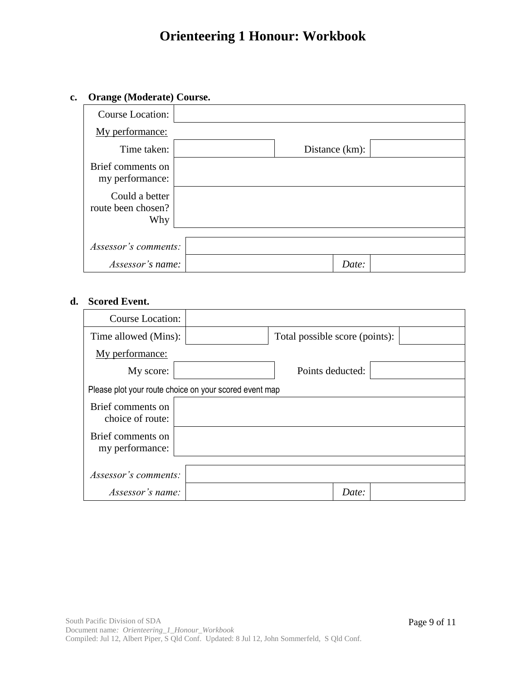#### **c. Orange (Moderate) Course.**

| <b>Course Location:</b>                     |                |
|---------------------------------------------|----------------|
| My performance:                             |                |
| Time taken:                                 | Distance (km): |
| Brief comments on<br>my performance:        |                |
| Could a better<br>route been chosen?<br>Why |                |
|                                             |                |
| Assessor's comments:                        |                |
| Assessor's name:                            | Date:          |

#### **d. Scored Event.**

| <b>Course Location:</b>                                |  |                                |       |  |  |
|--------------------------------------------------------|--|--------------------------------|-------|--|--|
| Time allowed (Mins):                                   |  | Total possible score (points): |       |  |  |
| My performance:                                        |  |                                |       |  |  |
| My score:                                              |  | Points deducted:               |       |  |  |
| Please plot your route choice on your scored event map |  |                                |       |  |  |
| Brief comments on<br>choice of route:                  |  |                                |       |  |  |
| Brief comments on<br>my performance:                   |  |                                |       |  |  |
|                                                        |  |                                |       |  |  |
| Assessor's comments:                                   |  |                                |       |  |  |
| Assessor's name:                                       |  |                                | Date: |  |  |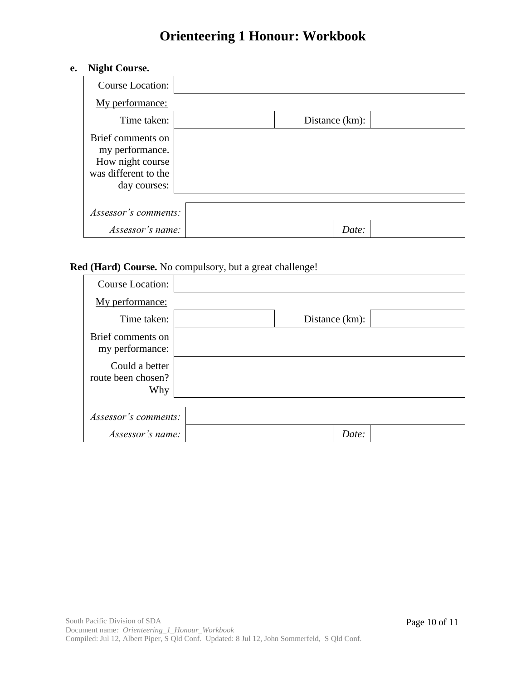#### **e. Night Course.**

| <b>Course Location:</b>                                                                          |                   |
|--------------------------------------------------------------------------------------------------|-------------------|
| My performance:                                                                                  |                   |
| Time taken:                                                                                      | Distance $(km)$ : |
| Brief comments on<br>my performance.<br>How night course<br>was different to the<br>day courses: |                   |
| Assessor's comments:                                                                             |                   |
| Assessor's name:                                                                                 | Date:             |

#### **Red (Hard) Course.** No compulsory, but a great challenge!

| <b>Course Location:</b>                     |                |  |
|---------------------------------------------|----------------|--|
| My performance:                             |                |  |
| Time taken:                                 | Distance (km): |  |
| Brief comments on<br>my performance:        |                |  |
| Could a better<br>route been chosen?<br>Why |                |  |
|                                             |                |  |
| Assessor's comments:                        |                |  |
| Assessor's name:                            | Date:          |  |